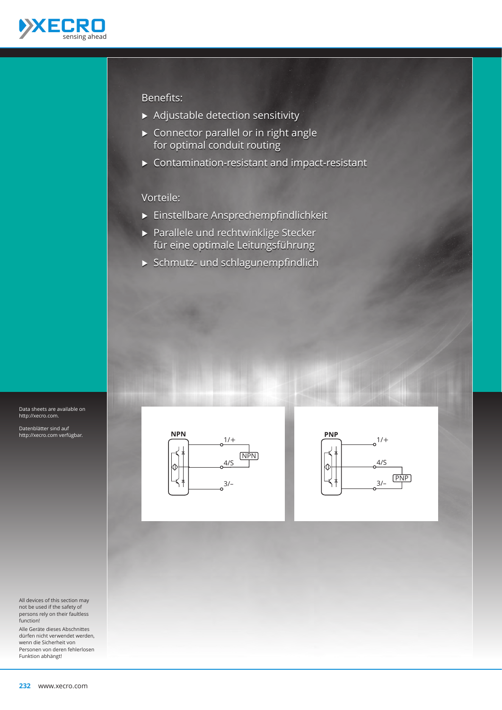

# Benefits:

- $\triangleright$  Adjustable detection sensitivity
- $\triangleright$  Connector parallel or in right angle for optimal conduit routing
- $\triangleright$  Contamination-resistant and impact-resistant

# Vorteile:

- Ѝ Einstellbare Ansprechempfindlichkeit
- ▶ Parallele und rechtwinklige Stecker für eine optimale Leitungsführung
- $\triangleright$  Schmutz- und schlagunempfindlich



Datenblätter sind auf http://xecro.com verfügbar.

All devices of this section may not be used if the safety of persons rely on their faultless function!

Alle Geräte dieses Abschnittes dürfen nicht verwendet werden, wenn die Sicherheit von Personen von deren fehlerlosen Funktion abhängt!



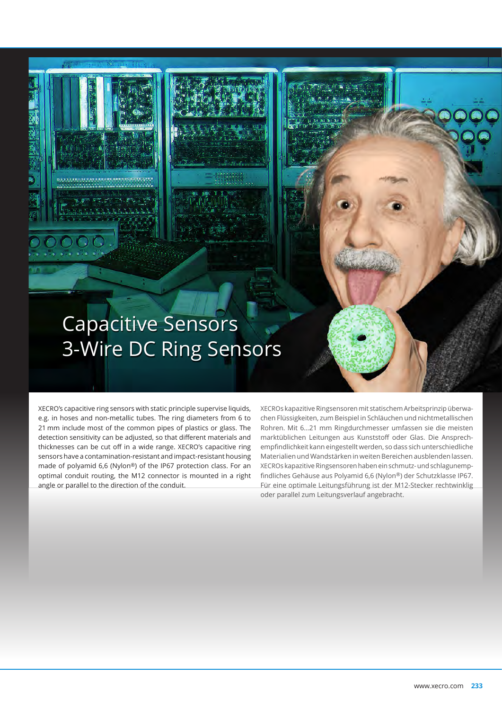# Capacitive Sensors 3-Wire DC Ring Sensors

XECRO's capacitive ring sensors with static principle supervise liquids, e.g. in hoses and non-metallic tubes. The ring diameters from 6 to 21 mm include most of the common pipes of plastics or glass. The detection sensitivity can be adjusted, so that different materials and thicknesses can be cut off in a wide range. XECRO's capacitive ring sensors have a contamination-resistant and impact-resistant housing made of polyamid 6,6 (Nylon®) of the IP67 protection class. For an optimal conduit routing, the M12 connector is mounted in a right angle or parallel to the direction of the conduit.

XECROs kapazitive Ringsensoren mit statischem Arbeitsprinzip überwachen Flüssigkeiten, zum Beispiel in Schläuchen und nichtmetallischen Rohren. Mit 6…21 mm Ringdurchmesser umfassen sie die meisten marktüblichen Leitungen aus Kunststoff oder Glas. Die Ansprechempfindlichkeit kann eingestellt werden, so dass sich unterschiedliche Materialien und Wandstärken in weiten Bereichen ausblenden lassen. XECROs kapazitive Ringsensoren haben ein schmutz- und schlagunempfindliches Gehäuse aus Polyamid 6,6 (Nylon®) der Schutzklasse IP67. Für eine optimale Leitungsführung ist der M12-Stecker rechtwinklig oder parallel zum Leitungsverlauf angebracht.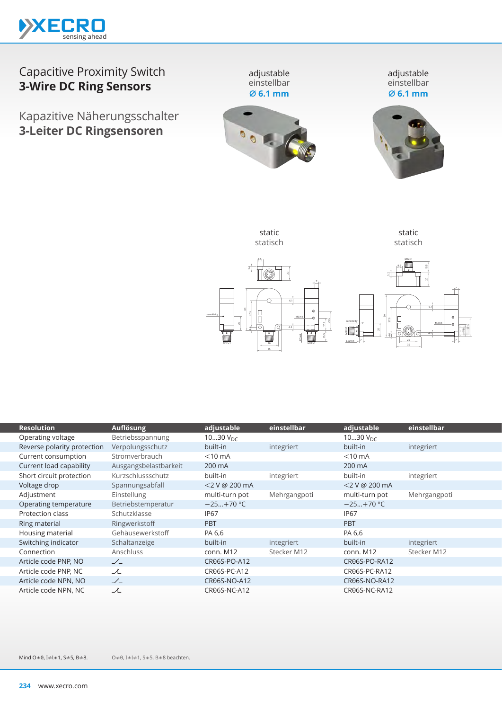

# Capacitive Proximity Switch **3-Wire DC Ring Sensors**

Kapazitive Näherungsschalter **3-Leiter DC Ringsensoren**

einstellbar **⌀ 6.1 mm**





static statisch



 $M12\times$ 





| <b>Resolution</b>           | Auflösung             | adjustable     | einstellbar  | adjustable     | einstellbar  |
|-----------------------------|-----------------------|----------------|--------------|----------------|--------------|
| Operating voltage           | Betriebsspannung      | 1030 $V_{DC}$  |              | 1030 $V_{DC}$  |              |
| Reverse polarity protection | Verpolungsschutz      | built-in       | integriert   | built-in       | integriert   |
| Current consumption         | Stromverbrauch        | $<$ 10 mA      |              | $<$ 10 mA      |              |
| Current load capability     | Ausgangsbelastbarkeit | 200 mA         |              | 200 mA         |              |
| Short circuit protection    | Kurzschlussschutz     | built-in       | integriert   | built-in       | integriert   |
| Voltage drop                | Spannungsabfall       | <2 V @ 200 mA  |              | <2 V @ 200 mA  |              |
| Adjustment                  | Einstellung           | multi-turn pot | Mehrgangpoti | multi-turn pot | Mehrgangpoti |
| Operating temperature       | Betriebstemperatur    | $-25+70 °C$    |              | $-25+70$ °C    |              |
| Protection class            | Schutzklasse          | <b>IP67</b>    |              | <b>IP67</b>    |              |
| Ring material               | Ringwerkstoff         | <b>PBT</b>     |              | <b>PBT</b>     |              |
| Housing material            | Gehäusewerkstoff      | PA 6,6         |              | PA 6,6         |              |
| Switching indicator         | Schaltanzeige         | built-in       | integriert   | built-in       | integriert   |
| Connection                  | Anschluss             | conn. M12      | Stecker M12  | conn. M12      | Stecker M12  |
| Article code PNP, NO        | $\angle$              | CR06S-PO-A12   |              | CR06S-PO-RA12  |              |
| Article code PNP, NC        | ᆺ                     | CR06S-PC-A12   |              | CR06S-PC-RA12  |              |
| Article code NPN, NO        | $\angle$              | CR06S-NO-A12   |              | CR06S-NO-RA12  |              |
| Article code NPN, NC        | ᆺ                     | CR06S-NC-A12   |              | CR06S-NC-RA12  |              |
|                             |                       |                |              |                |              |

O≠0, I≠l≠1, S≠5, B≠8 beachten. Mind O≠0, I≠l≠1, S≠5, B≠8.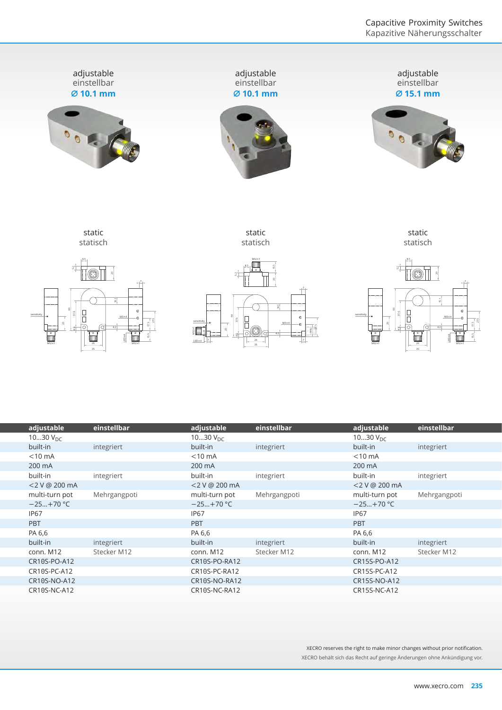

| adjustable     | einstellbar  | adjustable       | einstellbar  | adjustable     | einstellbar  |
|----------------|--------------|------------------|--------------|----------------|--------------|
| 1030 $V_{DC}$  |              | 1030 $V_{DC}$    |              | 1030 $V_{DC}$  |              |
| built-in       | integriert   | built-in         | integriert   | built-in       | integriert   |
| $<$ 10 mA      |              | $<$ 10 mA        |              | $<$ 10 mA      |              |
| 200 mA         |              | 200 mA           |              | 200 mA         |              |
| built-in       | integriert   | built-in         | integriert   | built-in       | integriert   |
| <2 V @ 200 mA  |              | $<$ 2 V @ 200 mA |              | <2 V @ 200 mA  |              |
| multi-turn pot | Mehrgangpoti | multi-turn pot   | Mehrgangpoti | multi-turn pot | Mehrgangpoti |
| $-25+70$ °C    |              | $-25+70$ °C      |              | $-25+70$ °C    |              |
| <b>IP67</b>    |              | <b>IP67</b>      |              | <b>IP67</b>    |              |
| <b>PBT</b>     |              | <b>PBT</b>       |              | <b>PBT</b>     |              |
| PA 6,6         |              | PA 6,6           |              | PA 6,6         |              |
| built-in       | integriert   | built-in         | integriert   | built-in       | integriert   |
| conn. M12      | Stecker M12  | conn. M12        | Stecker M12  | conn. M12      | Stecker M12  |
| CR10S-PO-A12   |              | CR10S-PO-RA12    |              | CR15S-PO-A12   |              |
| CR10S-PC-A12   |              | CR10S-PC-RA12    |              | CR15S-PC-A12   |              |
| CR10S-NO-A12   |              | CR10S-NO-RA12    |              | CR15S-NO-A12   |              |
| CR10S-NC-A12   |              | CR10S-NC-RA12    |              | CR15S-NC-A12   |              |

XECRO reserves the right to make minor changes without prior notification. XECRO behält sich das Recht auf geringe Änderungen ohne Ankündigung vor.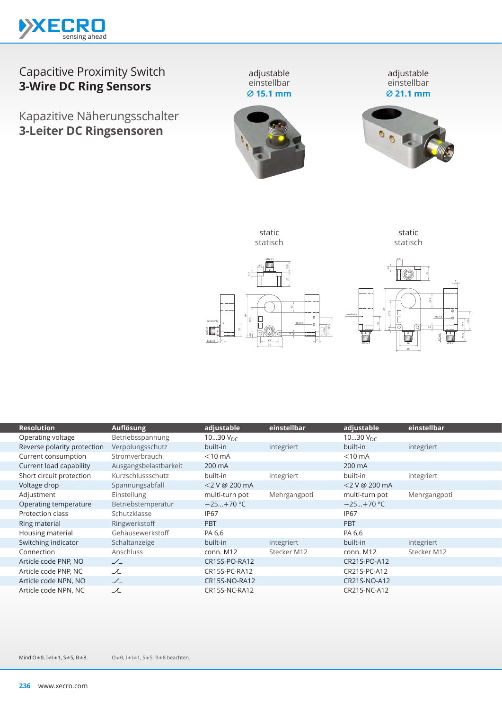

# Capacitive Proximity Switch **3-Wire DC Ring Sensors**

Kapazitive Näherungsschalter **3-Leiter DC Ringsensoren**

einstellbar **⌀ 15.1 mm**

adjustable einstellbar **⌀ 21.1 mm**





static

static statisch

M12×1 | 26 | M12×1

60 20

37.6

26 35 LED×4

 $M3X4$ 

2

27.5

sensitivity



O≠0, I≠l≠1, S≠5, B≠8 beachten. Mind O≠0, I≠l≠1, S≠5, B≠8.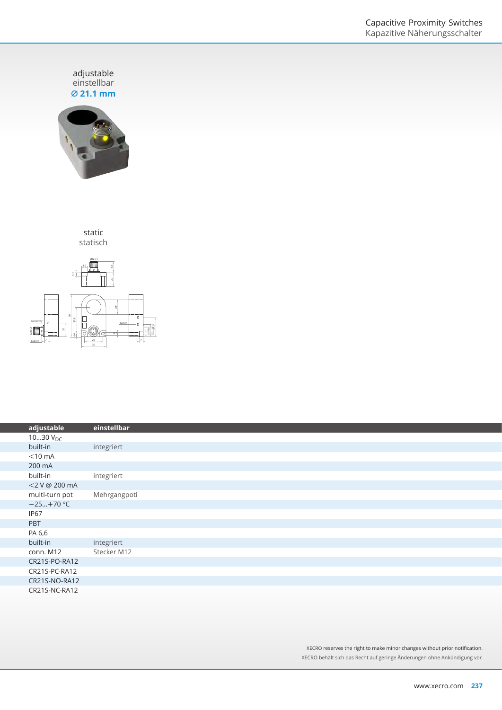adjustable<br>einstellbar **⌀ 21.1 mm**



static statisch



|                  | einstellbar  |
|------------------|--------------|
| adjustable       |              |
| 1030 $V_{DC}$    |              |
| built-in         | integriert   |
| $<$ 10 mA        |              |
| 200 mA           |              |
| built-in         | integriert   |
| <2 V @ 200 mA    |              |
| multi-turn pot   | Mehrgangpoti |
| $-25+70$ °C      |              |
| IP <sub>67</sub> |              |
| PBT              |              |
| PA 6,6           |              |
| built-in         | integriert   |
| conn. M12        | Stecker M12  |
| CR21S-PO-RA12    |              |
| CR21S-PC-RA12    |              |
| CR21S-NO-RA12    |              |
| CR21S-NC-RA12    |              |

XECRO reserves the right to make minor changes without prior notification. XECRO behält sich das Recht auf geringe Änderungen ohne Ankündigung vor.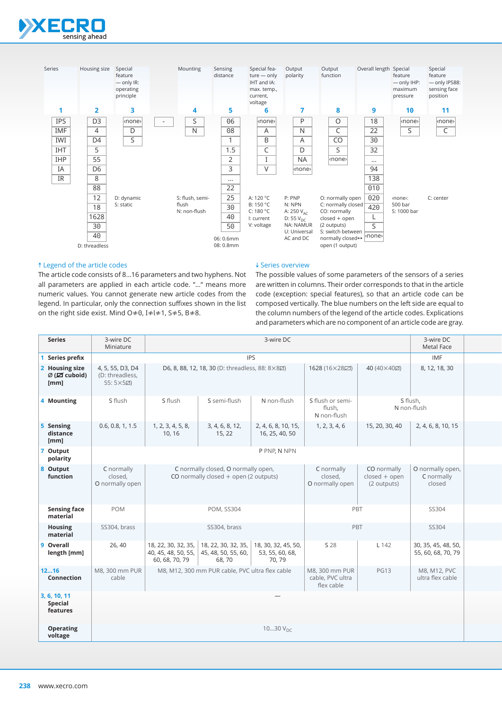



# ↑ Legend of the article codes

The article code consists of 8…16 parameters and two hyphens. Not all parameters are applied in each article code. "…" means more numeric values. You cannot generate new article codes from the legend. In particular, only the connection suffixes shown in the list on the right side exist. Mind O≠0, I≠l≠1, S≠5, B≠8.

## ↓ Series overview

The possible values of some parameters of the sensors of a series are written in columns. Their order corresponds to that in the article code (exception: special features), so that an article code can be composed vertically. The blue numbers on the left side are equal to the column numbers of the legend of the article codes. Explications and parameters which are no component of an article code are gray.

| <b>Series</b>                                                 | 3-wire DC<br>3-wire DC<br>Miniature                                                                                                           |                                                                                                                          |                           |                                       |                                           | 3-wire DC<br>Metal Face                       |                                           |  |
|---------------------------------------------------------------|-----------------------------------------------------------------------------------------------------------------------------------------------|--------------------------------------------------------------------------------------------------------------------------|---------------------------|---------------------------------------|-------------------------------------------|-----------------------------------------------|-------------------------------------------|--|
| Series prefix                                                 | <b>IPS</b>                                                                                                                                    |                                                                                                                          |                           |                                       |                                           |                                               | IMF                                       |  |
| 2 Housing size<br>$\varnothing$ ( $\boxtimes$ cuboid)<br>[mm] | 4, 5, 55, D3, D4<br>(D: threadless,<br>$55:5\times52$                                                                                         | D6, 8, 88, 12, 18, 30 (D: threadless, 88: 8×8Ø)                                                                          |                           |                                       | 1628 (16×28)                              | 40 (40×40Ø)                                   | 8, 12, 18, 30                             |  |
| 4 Mounting                                                    | S flush                                                                                                                                       | S flush<br>S semi-flush<br>N non-flush                                                                                   |                           |                                       | S flush or semi-<br>flush.<br>N non-flush |                                               | S flush,<br>N non-flush                   |  |
| 5 Sensing<br>distance<br>[mm]                                 | 0.6, 0.8, 1, 1.5                                                                                                                              | 1, 2, 3, 4, 5, 8,<br>10, 16                                                                                              | 3, 4, 6, 8, 12,<br>15, 22 | 2, 4, 6, 8, 10, 15,<br>16, 25, 40, 50 | 1, 2, 3, 4, 6                             | 15, 20, 30, 40                                | 2, 4, 6, 8, 10, 15                        |  |
| 7 Output<br>polarity                                          |                                                                                                                                               |                                                                                                                          |                           | P PNP, N NPN                          |                                           |                                               |                                           |  |
| 8 Output<br>function                                          | C normally<br>closed,<br>O normally open                                                                                                      | C normally closed, O normally open,<br>CO normally closed $+$ open (2 outputs)                                           |                           |                                       | C normally<br>closed,<br>O normally open  | CO normally<br>$closed + open$<br>(2 outputs) | O normally open,<br>C normally<br>closed  |  |
| <b>Sensing face</b><br>material                               | POM                                                                                                                                           | POM, SS304                                                                                                               |                           |                                       | PBT                                       |                                               | SS304                                     |  |
| Housing<br>material                                           | SS304, brass                                                                                                                                  | SS304, brass                                                                                                             |                           |                                       | PBT                                       |                                               | SS304                                     |  |
| 9 Overall<br>length [mm]                                      | 26, 40                                                                                                                                        | 18, 22, 30, 32, 35, 18, 22, 30, 32, 35, 18, 30, 32, 45, 50,<br>40, 45, 48, 50, 55, 45, 48, 50, 55, 60,<br>60, 68, 70, 79 | 68,70                     | 53, 55, 60, 68,<br>70, 79             | S 28                                      | L 142                                         | 30, 35, 45, 48, 50,<br>55, 60, 68, 70, 79 |  |
| 1216<br>Connection                                            | M8, 300 mm PUR<br>M8, M12, 300 mm PUR cable, PVC ultra flex cable<br>M8, 300 mm PUR<br><b>PG13</b><br>cable<br>cable, PVC ultra<br>flex cable |                                                                                                                          |                           |                                       | M8, M12, PVC<br>ultra flex cable          |                                               |                                           |  |
| 3, 6, 10, 11<br>Special<br>features                           |                                                                                                                                               |                                                                                                                          |                           |                                       |                                           |                                               |                                           |  |
| <b>Operating</b><br>voltage                                   | 1030 $V_{DC}$                                                                                                                                 |                                                                                                                          |                           |                                       |                                           |                                               |                                           |  |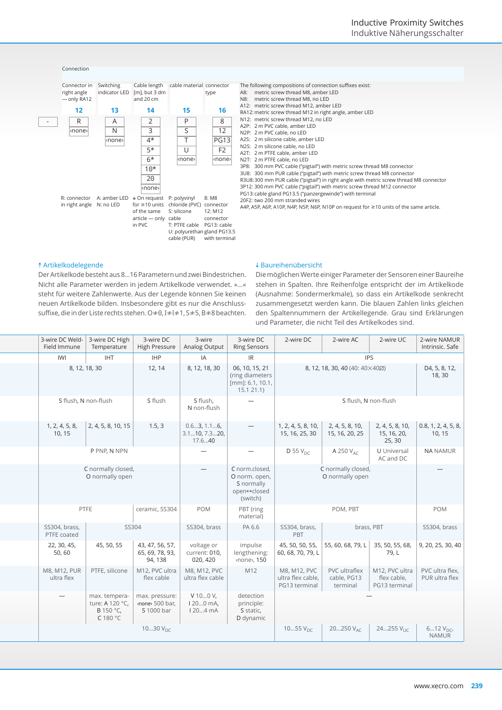#### Connection



#### A8: metric screw thread M8, amber LED<br>N8: metric screw thread M8, no LED metric screw thread M8, no LED A12: metric screw thread M12, amber LED

- RA12: metric screw thread M12 in right angle, amber LED
- N12: metric screw thread M12, no LED

A2P: 2 m PVC cable, amber LED

- N2P: 2 m PVC cable, no LED
- A2S: 2 m silicone cable, amber LED
- N2S: 2 m silicone cable, no LED
- A2T: 2 m PTFE cable, amber LED
- N2T: 2 m PTFE cable, no LED

3P8: 300 mm PVC cable ("pigtail") with metric screw thread M8 connector

- 3U8: 300 mm PUR cable ("pigtail") with metric screw thread M8 connector
- R3U8:300 mm PUR cable ("pigtail") in right angle with metric screw thread M8 connector

3P12: 300 mm PVC cable ("pigtail") with metric screw thread M12 connector

PG13:cable gland PG13.5 ("panzergewinde") with terminal 20F2: two 200 mm stranded wires

A4P, A5P, A6P, A10P, N4P, N5P, N6P, N10P on request for ≥10 units of the same article.

# ↑ Artikelkodelegende

Der Artikelkode besteht aus 8…16 Parametern und zwei Bindestrichen. Nicht alle Parameter werden in jedem Artikelkode verwendet. »…« steht für weitere Zahlenwerte. Aus der Legende können Sie keinen neuen Artikelkode bilden. Insbesondere gibt es nur die Anschlusssuffixe, die in der Liste rechts stehen. O≠0, I≠l≠1, S≠5, B≠8 beachten.

# ↓ Baureihenübersicht

Die möglichen Werte einiger Parameter der Sensoren einer Baureihe stehen in Spalten. Ihre Reihenfolge entspricht der im Artikelkode (Ausnahme: Sondermerkmale), so dass ein Artikelkode senkrecht zusammengesetzt werden kann. Die blauen Zahlen links gleichen den Spaltennummern der Artikellegende. Grau sind Erklärungen und Parameter, die nicht Teil des Artikelkodes sind.

| 3-wire DC Weld- 3-wire DC High<br>Field Immune | Temperature                                              | 3-wire DC<br>High Pressure   Analog Output    | 3-wire                                  | 3-wire DC<br><b>Ring Sensors</b>                                         | 2-wire DC                                          | 2-wire AC                                         | 2-wire UC                                                              | 2-wire NAMUR<br>Intrinsic. Safe              |
|------------------------------------------------|----------------------------------------------------------|-----------------------------------------------|-----------------------------------------|--------------------------------------------------------------------------|----------------------------------------------------|---------------------------------------------------|------------------------------------------------------------------------|----------------------------------------------|
| IWI                                            | <b>IHT</b>                                               | <b>IHP</b>                                    | IA                                      | IR                                                                       |                                                    |                                                   | <b>IPS</b>                                                             |                                              |
| 8, 12, 18, 30                                  |                                                          | 12, 14                                        | 8, 12, 18, 30                           | 06, 10, 15, 21<br>(ring diameters<br>[mm]: 6.1, 10.1,<br>15.121.1)       |                                                    | 8, 12, 18, 30, 40 (40: 40×40Ø)                    |                                                                        | D4, 5, 8, 12,<br>18, 30                      |
| S flush, N non-flush                           |                                                          | S flush                                       | S flush.<br>N non-flush                 | $-$                                                                      |                                                    |                                                   | S flush, N non-flush                                                   |                                              |
| 10, 15                                         | $1, 2, 4, 5, 8, \quad 2, 4, 5, 8, 10, 15$                | 1.5, 3                                        | 0.63, 1.16,<br>3.110, 7.320,<br>17.640  | $\overline{\phantom{0}}$                                                 | 1, 2, 4, 5, 8, 10,<br>15, 16, 25, 30               | 2, 4, 5, 8, 10,<br>15, 16, 20, 25                 | 15, 16, 20,<br>25, 30                                                  | 2, 4, 5, 8, 10, 0.8, 1, 2, 4, 5, 8<br>10, 15 |
|                                                | P PNP, N NPN                                             |                                               | $\overline{\phantom{a}}$                | $\overline{\phantom{m}}$                                                 | D 55 $V_{DC}$                                      | A 250 $V_{AC}$                                    | <b>U</b> Universal<br>AC and DC                                        | <b>NA NAMUR</b>                              |
|                                                | C normally closed,<br>O normally open                    |                                               | $\overline{\phantom{a}}$                | C norm.closed,<br>O norm. open,<br>S normally<br>open⇔closed<br>(switch) |                                                    | C normally closed,<br>O normally open             |                                                                        | $\overline{\phantom{0}}$                     |
| PTFE                                           |                                                          | ceramic, SS304                                | POM                                     | PBT (ring<br>material)                                                   |                                                    | POM, PBT                                          |                                                                        | POM                                          |
| SS304, brass,<br>PTFE coated                   | SS304                                                    |                                               | SS304, brass                            | PA 6.6                                                                   | SS304, brass,<br>PBT                               | brass, PBT                                        |                                                                        | SS304, brass                                 |
| 22, 30, 45,<br>50,60                           | 45, 50, 55                                               | 43, 47, 56, 57,<br>65, 69, 78, 93,<br>94, 138 | voltage or<br>current: 010,<br>020, 420 | impulse<br>lengthening:<br><none>, 150</none>                            | 60, 68, 70, 79, L                                  | 45, 50, 50, 55, 55, 60, 68, 79, L 35, 50, 55, 68, | 79, L                                                                  | 9, 20, 25, 30, 40                            |
| M8, M12, PUR<br>ultra flex                     | PTFE, silicone                                           | M12, PVC ultra<br>flex cable                  | M8, M12, PVC<br>ultra flex cable        | M12                                                                      | M8, M12, PVC<br>ultra flex cable,<br>PG13 terminal | PVC ultraflex<br>cable, PG13<br>terminal          | M12, PVC ultra $\vert$ PVC ultra flex,<br>flex cable,<br>PG13 terminal | PUR ultra flex                               |
|                                                | max. tempera-<br>ture: A 120 °C,<br>B 150 °C,<br>C180 °C | max. pressure:<br>none 500 bar,<br>S 1000 bar | $V100V$ ,<br>$1200$ mA,<br>1204mA       | detection<br>principle:<br>S static,<br>D dynamic                        |                                                    |                                                   | $\overline{\phantom{0}}$                                               |                                              |
|                                                |                                                          | 1030 $V_{DC}$                                 |                                         |                                                                          | 1055 $V_{DC}$                                      | $20250$ $V_{AC}$                                  | $24255 V_{\text{U}C}$                                                  | $612V_{DC}$<br><b>NAMUR</b>                  |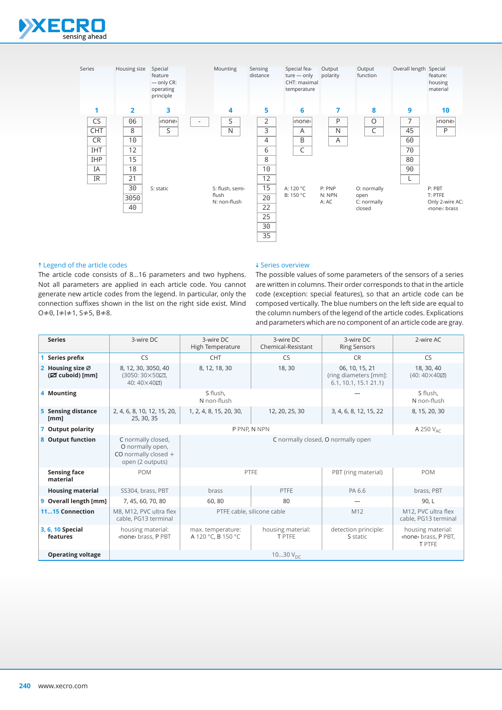



## ↑ Legend of the article codes

The article code consists of 8…16 parameters and two hyphens. Not all parameters are applied in each article code. You cannot generate new article codes from the legend. In particular, only the connection suffixes shown in the list on the right side exist. Mind O≠0, I≠l≠1, S≠5, B≠8.

### ↓ Series overview

The possible values of some parameters of the sensors of a series are written in columns. Their order corresponds to that in the article code (exception: special features), so that an article code can be composed vertically. The blue numbers on the left side are equal to the column numbers of the legend of the article codes. Explications and parameters which are no component of an article code are gray.

| <b>Series</b>                       | 3-wire DC                                                                          | 3-wire DC<br>3-wire DC<br>Chemical-Resistant<br>High Temperature       |                                             | 3-wire DC<br><b>Ring Sensors</b>                                | 2-wire AC                                                   |  |  |  |  |
|-------------------------------------|------------------------------------------------------------------------------------|------------------------------------------------------------------------|---------------------------------------------|-----------------------------------------------------------------|-------------------------------------------------------------|--|--|--|--|
| Series prefix                       | <b>CS</b>                                                                          | <b>CHT</b>                                                             | <b>CS</b>                                   | <b>CR</b>                                                       | <b>CS</b>                                                   |  |  |  |  |
| 2 Housing size Ø<br>(Ø cuboid) [mm] | 8, 12, 30, 3050, 40<br>(3050: 30×50⊡.<br>40:40×40Ø)                                | 8, 12, 18, 30                                                          | 18,30                                       | 06, 10, 15, 21<br>(ring diameters [mm]:<br>6.1, 10.1, 15.1 21.1 | 18, 30, 40<br>$(40:40\times40)$                             |  |  |  |  |
| 4 Mounting                          |                                                                                    | S flush,<br>N non-flush                                                |                                             |                                                                 |                                                             |  |  |  |  |
| 5 Sensing distance<br>[mm]          | 2, 4, 6, 8, 10, 12, 15, 20,<br>25, 30, 35                                          | 1, 2, 4, 8, 15, 20, 30,                                                | 12, 20, 25, 30<br>3, 4, 6, 8, 12, 15, 22    |                                                                 |                                                             |  |  |  |  |
| 7 Output polarity                   |                                                                                    | P PNP. N NPN                                                           | A 250 $V_{AC}$                              |                                                                 |                                                             |  |  |  |  |
| 8 Output function                   | C normally closed,<br>O normally open,<br>CO normally closed +<br>open (2 outputs) |                                                                        | C normally closed, O normally open          |                                                                 |                                                             |  |  |  |  |
| <b>Sensing face</b><br>material     | <b>POM</b>                                                                         | PTFE                                                                   | <b>POM</b>                                  |                                                                 |                                                             |  |  |  |  |
| <b>Housing material</b>             | SS304, brass, PBT                                                                  | brass                                                                  | PTFE                                        | PA 6.6                                                          | brass, PBT                                                  |  |  |  |  |
| 9 Overall length [mm]               | 7, 45, 60, 70, 80                                                                  | 60,80                                                                  | 80                                          |                                                                 | 90, L                                                       |  |  |  |  |
| 1115 Connection                     | M8, M12, PVC ultra flex<br>cable, PG13 terminal                                    | PTFE cable, silicone cable                                             | M12, PVC ultra flex<br>cable, PG13 terminal |                                                                 |                                                             |  |  |  |  |
| 3, 6, 10 Special<br>features        | housing material:<br><none> brass, P PBT</none>                                    | housing material:<br>max. temperature:<br>A 120 °C, B 150 °C<br>T PTFE |                                             | detection principle:<br>S static                                | housing material:<br><none> brass, P PBT,<br/>T PTFE</none> |  |  |  |  |
| <b>Operating voltage</b>            | 1030 $V_{\text{DC}}$                                                               |                                                                        |                                             |                                                                 |                                                             |  |  |  |  |